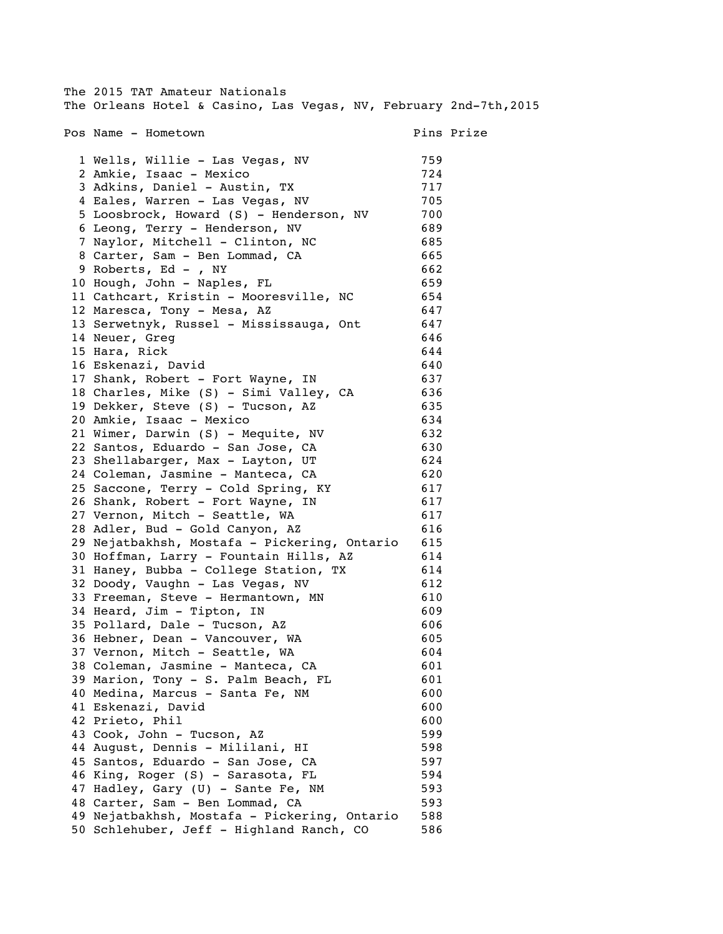| The 2015 TAT Amateur Nationals                                        |            |            |
|-----------------------------------------------------------------------|------------|------------|
| The Orleans Hotel & Casino, Las Vegas, NV, February 2nd-7th, 2015     |            |            |
|                                                                       |            |            |
| Pos Name - Hometown                                                   |            | Pins Prize |
|                                                                       |            |            |
| 1 Wells, Willie - Las Vegas, NV                                       | 759        |            |
| 2 Amkie, Isaac - Mexico                                               | 724        |            |
| 3 Adkins, Daniel - Austin, TX                                         | 717        |            |
| 4 Eales, Warren - Las Vegas, NV                                       | 705        |            |
| 5 Loosbrock, Howard (S) - Henderson, NV                               | 700        |            |
| 6 Leong, Terry - Henderson, NV                                        | 689        |            |
| 7 Naylor, Mitchell - Clinton, NC                                      | 685        |            |
| 8 Carter, Sam - Ben Lommad, CA                                        | 665        |            |
| 9 Roberts, Ed - , NY                                                  | 662        |            |
| 10 Hough, John - Naples, FL                                           | 659        |            |
| 11 Cathcart, Kristin - Mooresville, NC                                | 654        |            |
| 12 Maresca, Tony - Mesa, AZ                                           | 647        |            |
| 13 Serwetnyk, Russel - Mississauga, Ont                               | 647        |            |
| 14 Neuer, Greg                                                        | 646        |            |
| 15 Hara, Rick                                                         | 644        |            |
| 16 Eskenazi, David                                                    | 640        |            |
| 17 Shank, Robert - Fort Wayne, IN                                     | 637        |            |
| 18 Charles, Mike (S) - Simi Valley, CA                                | 636        |            |
| 19 Dekker, Steve (S) - Tucson, AZ                                     | 635        |            |
| 20 Amkie, Isaac - Mexico                                              | 634        |            |
| 21 Wimer, Darwin (S) - Mequite, NV                                    | 632        |            |
| 22 Santos, Eduardo - San Jose, CA                                     | 630        |            |
| 23 Shellabarger, Max - Layton, UT                                     | 624        |            |
| 24 Coleman, Jasmine - Manteca, CA                                     | 620        |            |
| 25 Saccone, Terry - Cold Spring, KY                                   | 617        |            |
| 26 Shank, Robert - Fort Wayne, IN                                     | 617        |            |
| 27 Vernon, Mitch - Seattle, WA                                        | 617        |            |
| 28 Adler, Bud - Gold Canyon, AZ                                       | 616        |            |
| 29 Nejatbakhsh, Mostafa - Pickering, Ontario                          | 615        |            |
| 30 Hoffman, Larry - Fountain Hills, AZ                                | 614        |            |
| 31 Haney, Bubba - College Station, TX                                 | 614        |            |
| 32 Doody, Vaughn - Las Vegas, NV                                      | 612        |            |
| 33 Freeman, Steve - Hermantown, MN                                    | 610        |            |
| 34 Heard, Jim - Tipton, IN                                            | 609        |            |
| 35 Pollard, Dale - Tucson, AZ                                         | 606        |            |
| 36 Hebner, Dean - Vancouver, WA                                       | 605        |            |
| 37 Vernon, Mitch - Seattle, WA                                        | 604        |            |
| 38 Coleman, Jasmine - Manteca, CA                                     | 601        |            |
| 39 Marion, Tony - S. Palm Beach, FL                                   | 601        |            |
| 40 Medina, Marcus - Santa Fe, NM                                      | 600        |            |
| 41 Eskenazi, David                                                    | 600        |            |
| 42 Prieto, Phil                                                       | 600        |            |
| 43 Cook, John - Tucson, AZ                                            | 599        |            |
|                                                                       | 598        |            |
| 44 August, Dennis - Mililani, HI<br>45 Santos, Eduardo - San Jose, CA |            |            |
|                                                                       | 597        |            |
| 46 King, Roger (S) - Sarasota, FL                                     | 594<br>593 |            |
| 47 Hadley, Gary (U) - Sante Fe, NM                                    |            |            |
| 48 Carter, Sam - Ben Lommad, CA                                       | 593        |            |
| 49 Nejatbakhsh, Mostafa - Pickering, Ontario                          | 588        |            |
| 50 Schlehuber, Jeff - Highland Ranch, CO                              | 586        |            |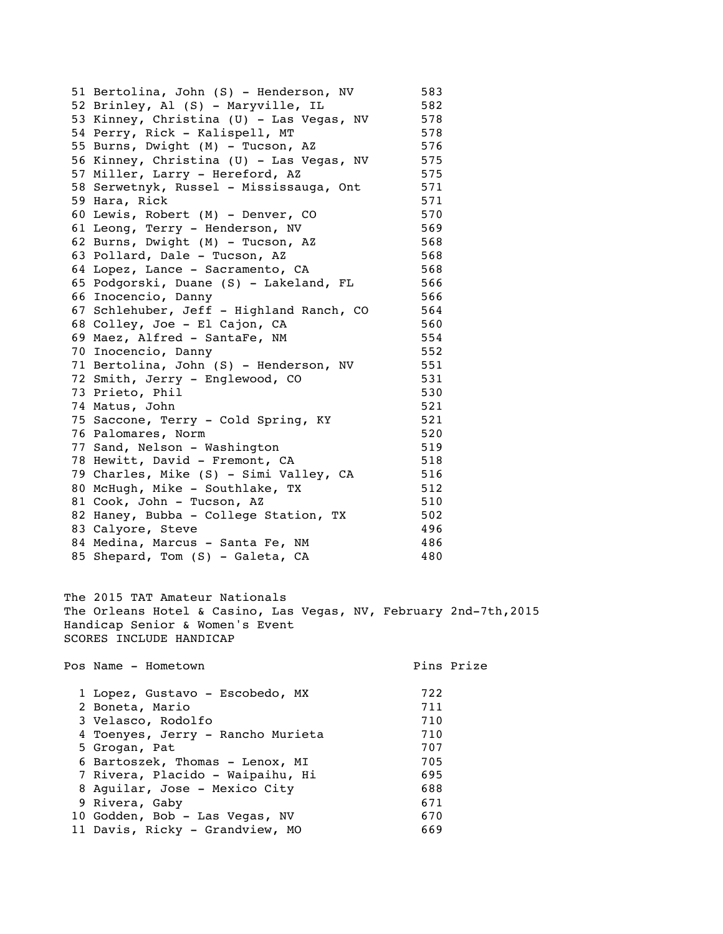| 51 Bertolina, John (S) - Henderson, NV                            | 583 |            |
|-------------------------------------------------------------------|-----|------------|
| 52 Brinley, Al (S) - Maryville, IL                                | 582 |            |
| 53 Kinney, Christina (U) - Las Vegas, NV                          | 578 |            |
| 54 Perry, Rick - Kalispell, MT                                    | 578 |            |
| 55 Burns, Dwight (M) - Tucson, AZ                                 | 576 |            |
| 56 Kinney, Christina (U) - Las Vegas, NV                          | 575 |            |
| 57 Miller, Larry - Hereford, AZ                                   | 575 |            |
| 58 Serwetnyk, Russel - Mississauga, Ont                           | 571 |            |
| 59 Hara, Rick                                                     | 571 |            |
| 60 Lewis, Robert (M) - Denver, CO                                 | 570 |            |
| 61 Leong, Terry - Henderson, NV                                   | 569 |            |
| 62 Burns, Dwight (M) - Tucson, AZ                                 | 568 |            |
| 63 Pollard, Dale - Tucson, AZ                                     | 568 |            |
| 64 Lopez, Lance - Sacramento, CA                                  | 568 |            |
| 65 Podgorski, Duane (S) - Lakeland, FL                            | 566 |            |
| 66 Inocencio, Danny                                               | 566 |            |
| 67 Schlehuber, Jeff - Highland Ranch, CO                          | 564 |            |
| 68 Colley, Joe - El Cajon, CA                                     | 560 |            |
| 69 Maez, Alfred - SantaFe, NM                                     | 554 |            |
| 70 Inocencio, Danny                                               | 552 |            |
| 71 Bertolina, John (S) - Henderson, NV                            | 551 |            |
| 72 Smith, Jerry - Englewood, CO                                   | 531 |            |
| 73 Prieto, Phil                                                   | 530 |            |
| 74 Matus, John                                                    | 521 |            |
| 75 Saccone, Terry - Cold Spring, KY                               | 521 |            |
| 76 Palomares, Norm                                                | 520 |            |
| 77 Sand, Nelson - Washington                                      | 519 |            |
| 78 Hewitt, David - Fremont, CA                                    | 518 |            |
| 79 Charles, Mike (S) - Simi Valley, CA                            | 516 |            |
| 80 McHugh, Mike - Southlake, TX                                   | 512 |            |
| 81 Cook, John - Tucson, AZ                                        | 510 |            |
| 82 Haney, Bubba - College Station, TX                             | 502 |            |
| 83 Calyore, Steve                                                 | 496 |            |
| 84 Medina, Marcus - Santa Fe, NM                                  | 486 |            |
| 85 Shepard, Tom (S) - Galeta, CA                                  | 480 |            |
| The 2015 TAT Amateur Nationals                                    |     |            |
| The Orleans Hotel & Casino, Las Vegas, NV, February 2nd-7th, 2015 |     |            |
| Handicap Senior & Women's Event                                   |     |            |
| SCORES INCLUDE HANDICAP                                           |     |            |
| Pos Name - Hometown                                               |     | Pins Prize |
| 1 Lopez, Gustavo - Escobedo, MX                                   | 722 |            |
| 2 Boneta, Mario                                                   | 711 |            |
| 3 Velasco, Rodolfo                                                | 710 |            |
| 4 Toenyes, Jerry - Rancho Murieta                                 | 710 |            |
| 5 Grogan, Pat                                                     | 707 |            |
| 6 Bartoszek, Thomas - Lenox, MI                                   | 705 |            |

7 Rivera, Placido - Waipaihu, Hi 695<br>8 Aguilar, Jose - Mexico City 688 8 Aguilar, Jose - Mexico City 688<br>9 Rivera, Gaby 671 9 Rivera, Gaby 671 10 Godden, Bob - Las Vegas, NV 670 11 Davis, Ricky - Grandview, MO 669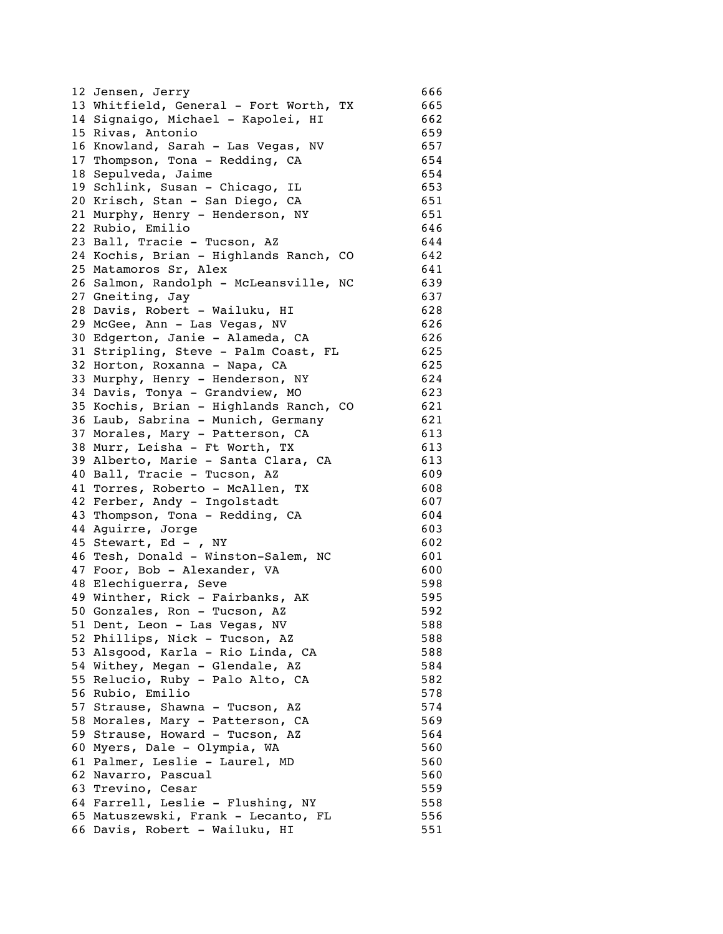|    | 12 Jensen, Jerry                                                    | 666 |
|----|---------------------------------------------------------------------|-----|
|    | 13 Whitfield, General - Fort Worth, TX                              | 665 |
|    | 14 Signaigo, Michael - Kapolei, HI                                  | 662 |
|    | 15 Rivas, Antonio                                                   | 659 |
|    | 16 Knowland, Sarah - Las Vegas, NV                                  | 657 |
|    | 17 Thompson, Tona - Redding, CA                                     | 654 |
| 18 | Sepulveda, Jaime                                                    | 654 |
|    | 19 Schlink, Susan - Chicago, IL                                     | 653 |
|    | 20 Krisch, Stan - San Diego, CA                                     | 651 |
|    | 21 Murphy, Henry - Henderson, NY                                    | 651 |
|    | 22 Rubio, Emilio                                                    | 646 |
|    | 23 Ball, Tracie - Tucson, AZ                                        | 644 |
|    | 24 Kochis, Brian - Highlands Ranch, CO                              | 642 |
|    | 25 Matamoros Sr, Alex                                               | 641 |
|    | 26 Salmon, Randolph - McLeansville, NC                              | 639 |
|    | 27 Gneiting, Jay                                                    | 637 |
|    | 28 Davis, Robert - Wailuku, HI                                      | 628 |
|    | 29 McGee, Ann - Las Vegas, NV                                       | 626 |
|    | 30 Edgerton, Janie - Alameda, CA                                    | 626 |
|    | 31 Stripling, Steve - Palm Coast, FL                                | 625 |
|    | 32 Horton, Roxanna - Napa, CA                                       | 625 |
|    | 33 Murphy, Henry - Henderson, NY                                    | 624 |
|    | 34 Davis, Tonya - Grandview, MO                                     | 623 |
|    | 35 Kochis, Brian - Highlands Ranch, CO                              | 621 |
|    | 36 Laub, Sabrina - Munich, Germany                                  | 621 |
|    | 37 Morales, Mary - Patterson, CA                                    | 613 |
|    | 38 Murr, Leisha - Ft Worth, TX                                      | 613 |
|    | 39 Alberto, Marie - Santa Clara, CA                                 | 613 |
|    | 40 Ball, Tracie - Tucson, AZ                                        | 609 |
|    | 41 Torres, Roberto - McAllen, TX                                    | 608 |
|    | 42 Ferber, Andy - Ingolstadt                                        | 607 |
|    | 43 Thompson, Tona - Redding, CA                                     | 604 |
|    | 44 Aguirre, Jorge                                                   | 603 |
|    | 45 Stewart, Ed - , NY                                               | 602 |
|    | 46 Tesh, Donald - Winston-Salem, NC                                 | 601 |
|    | 47 Foor, Bob - Alexander, VA                                        | 600 |
|    | 48 Elechiguerra, Seve                                               | 598 |
|    | 49 Winther, Rick - Fairbanks, AK                                    | 595 |
|    | 50 Gonzales, Ron - Tucson, AZ                                       | 592 |
|    |                                                                     | 588 |
|    | 51 Dent, Leon - Las Vegas, NV                                       | 588 |
|    | 52 Phillips, Nick - Tucson, AZ<br>53 Alsgood, Karla - Rio Linda, CA | 588 |
|    |                                                                     | 584 |
|    | 54 Withey, Megan - Glendale, AZ                                     |     |
|    | 55 Relucio, Ruby - Palo Alto, CA                                    | 582 |
|    | 56 Rubio, Emilio                                                    | 578 |
|    | 57 Strause, Shawna - Tucson, AZ                                     | 574 |
|    | 58 Morales, Mary - Patterson, CA                                    | 569 |
|    | 59 Strause, Howard - Tucson, AZ                                     | 564 |
|    | 60 Myers, Dale - Olympia, WA                                        | 560 |
|    | 61 Palmer, Leslie - Laurel, MD                                      | 560 |
|    | 62 Navarro, Pascual                                                 | 560 |
|    | 63 Trevino, Cesar                                                   | 559 |
|    | 64 Farrell, Leslie - Flushing, NY                                   | 558 |
|    | 65 Matuszewski, Frank - Lecanto, FL                                 | 556 |
|    | 66 Davis, Robert - Wailuku, HI                                      | 551 |